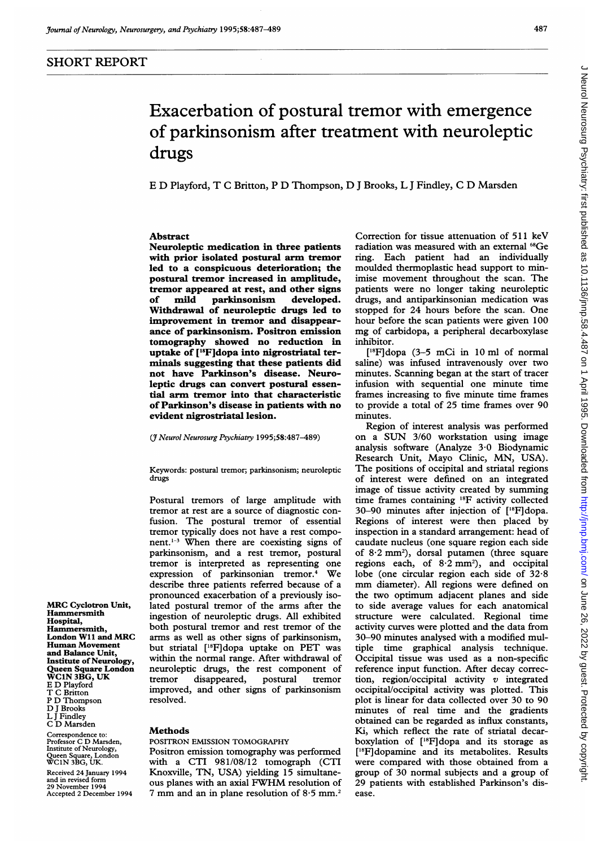# SHORT REPORT

# Exacerbation of postural tremor with emergence of parkinsonism after treatment with neuroleptic drugs

E D Playford, T C Britton, P D Thompson, D <sup>J</sup> Brooks, L <sup>J</sup> Findley, C D Marsden

## Abstract

Neuroleptic medication in three patients with prior isolated postural arm tremor led to a conspicuous deterioration; the postural tremor increased in amplitude, tremor appeared at rest, and other signs of mild parkinsonism developed. Withdrawal of neuroleptic drugs led to improvement in tremor and disappearance of parkinsonism. Positron emission tomography showed no reduction in uptake of ["8F]dopa into nigrostriatal terminals suggesting that these patients did not have Parkinson's disease. Neuroleptic drugs can convert postural essential arm tremor into that characteristic of Parkinson's disease in patients with no evident nigrostriatal lesion.

#### (3 Neurol Neurosurg Psychiatry 1995;58:487-489)

Keywords: postural tremor; parkinsonism; neuroleptic drugs

Postural tremors of large amplitude with tremor at rest are a source of diagnostic confusion. The postural tremor of essential tremor typically does not have a rest component.<sup>1-3</sup> When there are coexisting signs of parkinsonism, and a rest tremor, postural tremor is interpreted as representing one expression of parkinsonian tremor.4 We describe three patients referred because of a pronounced exacerbation of a previously isolated postural tremor of the arms after the ingestion of neuroleptic drugs. All exhibited both postural tremor and rest tremor of the arms as well as other signs of parkinsonism, but striatal ["8Fidopa uptake on PET was within the normal range. After withdrawal of neuroleptic drugs, the rest component of<br>tremor disappeared, postural tremor tremor disappeared, postural tremor improved, and other signs of parkinsonism resolved.

and Balance Unit, Institute of Neurology, Queen Square London WClN 3BG, UK E D Playford T C Britton P D Thompson D <sup>J</sup> Brooks L J Findley C D Marsden Correspondence to:

MRC Cyclotron Unit, Hammersmith Hospital,

Hammersmith, London Wll and MRC Human Movement

Professor C D Marsden, Institute of Neurology, Queen Square, London WC1N 3BG, UK.

Received 24 January 1994 in revised f 29 November 1994 Accepted 2 December 1994

# Methods

## POSITRON EMISSION TOMOGRAPHY

Positron emission tomography was performed with <sup>a</sup> CTI 981/08/12 tomograph (CTI Knoxville, TN, USA) yielding 15 simultaneous planes with an axial FWHM resolution of <sup>7</sup> mm and an in plane resolution of 8-5 mm.2

Correction for tissue attenuation of 511 keV radiation was measured with an external 68Ge ring. Each patient had an individually moulded thermoplastic head support to minimise movement throughout the scan. The patients were no longer taking neuroleptic drugs, and antiparkinsonian medication was stopped for 24 hours before the scan. One hour before the scan patients were given 100 mg of carbidopa, <sup>a</sup> peripheral decarboxylase inhibitor.

 $[$ <sup>18</sup>F $]$ dopa (3–5 mCi in 10 ml of normal saline) was infused intravenously over two minutes. Scanning began at the start of tracer infusion with sequential one minute time frames increasing to five minute time frames to provide a total of 25 time frames over 90 minutes.

Region of interest analysis was performed on <sup>a</sup> SUN 3/60 workstation using image analysis software (Analyze 3-0 Biodynamic Research Unit, Mayo Clinic, MN, USA). The positions of occipital and striatal regions of interest were defined on an integrated image of tissue activity created by summing time frames containing '8F activity collected 30-90 minutes after injection of ["8F]dopa. Regions of interest were then placed by inspection in a standard arrangement: head of caudate nucleus (one square region each side of 8-2 mm2), dorsal putamen (three square regions each, of  $8.2 \text{ mm}^2$ ), and occipital lobe (one circular region each side of 32-8 mm diameter). All regions were defined on the two optimum adjacent planes and side to side average values for each anatomical structure were calculated. Regional time activity curves were plotted and the data from 30-90 minutes analysed with a modified multiple time graphical analysis technique. Occipital tissue was used as a non-specific reference input function. After decay correction, region/occipital activity  $v$  integrated occipital/occipital activity was plotted. This plot is linear for data collected over 30 to 90 minutes of real time and the gradients obtained can be regarded as influx constants, Ki, which reflect the rate of striatal decarboxylation of [18F]dopa and its storage as [18F]dopamine and its metabolites. Results were compared with those obtained from a group of 30 normal subjects and a group of 29 patients with established Parkinson's disease.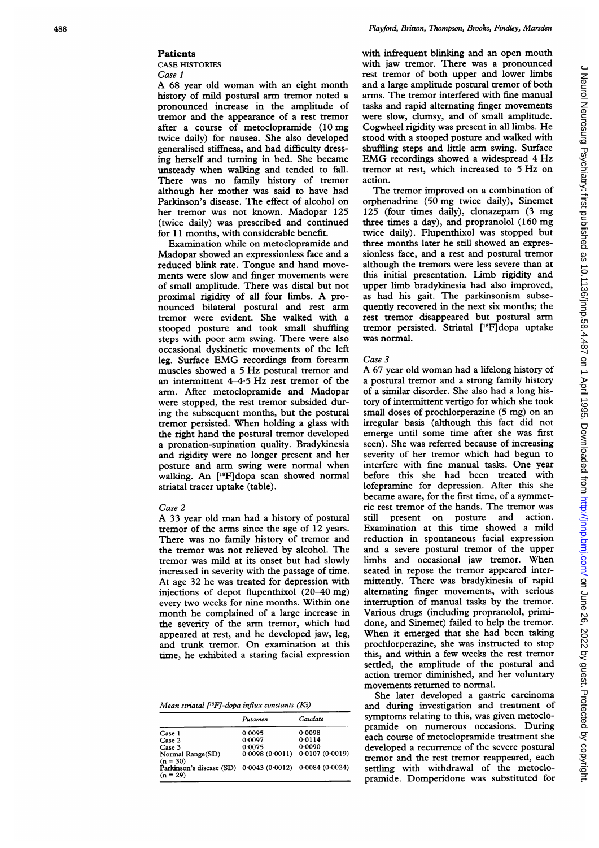## Patients

CASE HISTORIES

Case I

A <sup>68</sup> year old woman with an eight month history of mild postural arm tremor noted a pronounced increase in the amplitude of tremor and the appearance of a rest tremor after <sup>a</sup> course of metoclopramide (10 mg twice daily) for nausea. She also developed generalised stiffness, and had difficulty dressing herself and turning in bed. She became unsteady when walking and tended to fall. There was no family history of tremor although her mother was said to have had Parkinson's disease. The effect of alcohol on her tremor was not known. Madopar 125 (twice daily) was prescribed and continued for 11 months, with considerable benefit.

Examination while on metoclopramide and Madopar showed an expressionless face and a reduced blink rate. Tongue and hand movements were slow and finger movements were of small amplitude. There was distal but not proximal rigidity of all four limbs. A pronounced bilateral postural and rest arm tremor were evident. She walked with a stooped posture and took small shuffling steps with poor arm swing. There were also occasional dyskinetic movements of the left leg. Surface EMG recordings from forearm muscles showed a <sup>5</sup> Hz postural tremor and an intermittent 4-4 <sup>5</sup> Hz rest tremor of the arm. After metoclopramide and Madopar were stopped, the rest tremor subsided during the subsequent months, but the postural tremor persisted. When holding a glass with the right hand the postural tremor developed a pronation-supination quality. Bradykinesia and rigidity were no longer present and her posture and arm swing were normal when walking. An [<sup>18</sup>F]dopa scan showed normal striatal tracer uptake (table).

#### Case 2

A <sup>33</sup> year old man had a history of postural tremor of the arms since the age of 12 years. There was no family history of tremor and the tremor was not relieved by alcohol. The tremor was mild at its onset but had slowly increased in severity with the passage of time. At age 32 he was treated for depression with injections of depot flupenthixol (20-40 mg) every two weeks for nine months. Within one month he complained of a large increase in the severity of the arm tremor, which had appeared at rest, and he developed jaw, leg, and trunk tremor. On examination at this time, he exhibited a staring facial expression

Mean striatal  $[{}^{18}F]$ -dopa influx constants (Ki)

|                                                                        | Putamen        | Caudate        |
|------------------------------------------------------------------------|----------------|----------------|
| Case 1                                                                 | 0.0095         | 0.0098         |
| Case 2                                                                 | 0.0097         | 0.0114         |
| Case 3                                                                 | 0.0075         | 0.0090         |
| Normal Range(SD)<br>$(n = 30)$                                         | 0.0098(0.0011) | 0.0107(0.0019) |
| Parkinson's disease (SD) 0.0043 (0.0012) 0.0084 (0.0024)<br>$(n = 29)$ |                |                |

with infrequent blinking and an open mouth with jaw tremor. There was a pronounced rest tremor of both upper and lower limbs and a large amplitude postural tremor of both arms. The tremor interfered with fine manual tasks and rapid alternating finger movements were slow, clumsy, and of small amplitude. Cogwheel rigidity was present in all limbs. He stood with a stooped posture and walked with shuffling steps and little arm swing. Surface EMG recordings showed a widespread 4 Hz tremor at rest, which increased to <sup>5</sup> Hz on action.

The tremor improved on a combination of orphenadrine (50 mg twice daily), Sinemet 125 (four times daily), clonazepam (3 mg three times <sup>a</sup> day), and propranolol (160 mg twice daily). Flupenthixol was stopped but three months later he still showed an expressionless face, and a rest and postural tremor although the tremors were less severe than at this initial presentation. Limb rigidity and upper limb bradykinesia had also improved, as had his gait. The parkinsonism subsequently recovered in the next six months; the rest tremor disappeared but postural arm tremor persisted. Striatal [18F]dopa uptake was normal.

### Case 3

A <sup>67</sup> year old woman had a lifelong history of a postural tremor and a strong family history of a similar disorder. She also had a long history of intermittent vertigo for which she took small doses of prochlorperazine (5 mg) on an irregular basis (although this fact did not emerge until some time after she was first seen). She was referred because of increasing severity of her tremor which had begun to interfere with fine manual tasks. One year before this she had been treated with lofepramine for depression. After this she became aware, for the first time, of a symmetric rest tremor of the hands. The tremor was still present on posture and action. Examination at this time showed a mild reduction in spontaneous facial expression and a severe postural tremor of the upper limbs and occasional jaw tremor. When seated in repose the tremor appeared intermittently. There was bradykinesia of rapid alternating finger movements, with serious interruption of manual tasks by the tremor. Various drugs (including propranolol, primidone, and Sinemet) failed to help the tremor. When it emerged that she had been taking prochlorperazine, she was instructed to stop this, and within a few weeks the rest tremor settled, the amplitude of the postural and action tremor diminished, and her voluntary movements returned to normal.

She later developed a gastric carcinoma and during investigation and treatment of symptoms relating to this, was given metoclopramide on numerous occasions. During each course of metoclopramide treatment she developed a recurrence of the severe postural tremor and the rest tremor reappeared, each settling with withdrawal of the metoclopramide. Domperidone was substituted for